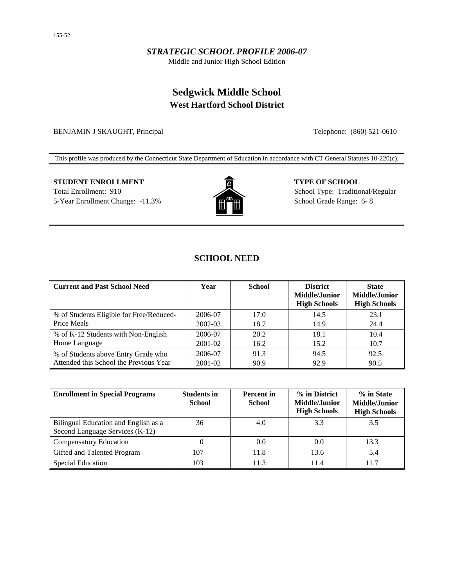## *STRATEGIC SCHOOL PROFILE 2006-07*

Middle and Junior High School Edition

## **Sedgwick Middle School West Hartford School District**

BENJAMIN J SKAUGHT, Principal Telephone: (860) 521-0610

This profile was produced by the Connecticut State Department of Education in accordance with CT General Statutes 10-220(c).

# **STUDENT ENROLLMENT TYPE OF SCHOOL** Total Enrollment: 910 School Type: Traditional/Regular



5-Year Enrollment Change:  $-11.3\%$   $\qquad \qquad \qquad \qquad$   $\qquad \qquad$  School Grade Range: 6- 8

## **SCHOOL NEED**

| <b>Current and Past School Need</b>                     | Year    | <b>School</b> | <b>District</b><br><b>Middle/Junior</b><br><b>High Schools</b> | <b>State</b><br><b>Middle/Junior</b><br><b>High Schools</b> |
|---------------------------------------------------------|---------|---------------|----------------------------------------------------------------|-------------------------------------------------------------|
| % of Students Eligible for Free/Reduced-<br>Price Meals | 2006-07 | 17.0          | 14.5                                                           | 23.1                                                        |
|                                                         | 2002-03 | 18.7          | 14.9                                                           | 24.4                                                        |
| % of K-12 Students with Non-English                     | 2006-07 | 20.2          | 18.1                                                           | 10.4                                                        |
| Home Language                                           | 2001-02 | 16.2          | 15.2                                                           | 10.7                                                        |
| % of Students above Entry Grade who                     | 2006-07 | 91.3          | 94.5                                                           | 92.5                                                        |
| Attended this School the Previous Year                  | 2001-02 | 90.9          | 92.9                                                           | 90.5                                                        |

| <b>Enrollment in Special Programs</b>                                   | <b>Students in</b><br><b>School</b> | <b>Percent</b> in<br><b>School</b> | % in District<br>Middle/Junior<br><b>High Schools</b> | % in State<br>Middle/Junior<br><b>High Schools</b> |
|-------------------------------------------------------------------------|-------------------------------------|------------------------------------|-------------------------------------------------------|----------------------------------------------------|
| Bilingual Education and English as a<br>Second Language Services (K-12) | 36                                  | 4.0                                | 3.3                                                   | 3.5                                                |
| <b>Compensatory Education</b>                                           |                                     | 0.0                                | 0.0                                                   | 13.3                                               |
| Gifted and Talented Program                                             | 107                                 | 11.8                               | 13.6                                                  | 5.4                                                |
| Special Education                                                       | 103                                 | 11.3                               | 11.4                                                  | 11.7                                               |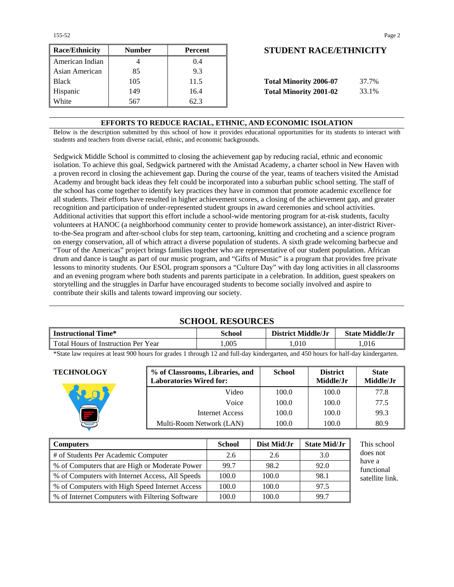| <b>Race/Ethnicity</b> | <b>Number</b> | Percent | <b>STUDENT RACE/ETHNICIT</b>           |
|-----------------------|---------------|---------|----------------------------------------|
| American Indian       |               | (0.4)   |                                        |
| Asian American        | 85            | 9.3     |                                        |
| <b>Black</b>          | 105           | 11.5    | <b>Total Minority 2006-07</b><br>37.7% |
| Hispanic              | 149           | 16.4    | <b>Total Minority 2001-02</b><br>33.1% |
| White                 | 567           | 62.3    |                                        |

### **Race/Ethnicity Number Percent STUDENT RACE/ETHNICITY**

| <b>Total Minority 2006-07</b> | 37.7% |
|-------------------------------|-------|
| <b>Total Minority 2001-02</b> | 33.1% |

#### **EFFORTS TO REDUCE RACIAL, ETHNIC, AND ECONOMIC ISOLATION**

Below is the description submitted by this school of how it provides educational opportunities for its students to interact with students and teachers from diverse racial, ethnic, and economic backgrounds.

Sedgwick Middle School is committed to closing the achievement gap by reducing racial, ethnic and economic isolation. To achieve this goal, Sedgwick partnered with the Amistad Academy, a charter school in New Haven with a proven record in closing the achievement gap. During the course of the year, teams of teachers visited the Amistad Academy and brought back ideas they felt could be incorporated into a suburban public school setting. The staff of the school has come together to identify key practices they have in common that promote academic excellence for all students. Their efforts have resulted in higher achievement scores, a closing of the achievement gap, and greater recognition and participation of under-represented student groups in award ceremonies and school activities. Additional activities that support this effort include a school-wide mentoring program for at-risk students, faculty volunteers at HANOC (a neighborhood community center to provide homework assistance), an inter-district Riverto-the-Sea program and after-school clubs for step team, cartooning, knitting and crocheting and a science program on energy conservation, all of which attract a diverse population of students. A sixth grade welcoming barbecue and "Tour of the Americas" project brings families together who are representative of our student population. African drum and dance is taught as part of our music program, and "Gifts of Music" is a program that provides free private lessons to minority students. Our ESOL program sponsors a "Culture Day" with day long activities in all classrooms and an evening program where both students and parents participate in a celebration. In addition, guest speakers on storytelling and the struggles in Darfur have encouraged students to become socially involved and aspire to contribute their skills and talents toward improving our society.

#### **SCHOOL RESOURCES**

| l Time*<br><b>Instructional T</b>   | School | <b>District Middle/Jr</b> | <b>State Middle/Jr</b> |  |
|-------------------------------------|--------|---------------------------|------------------------|--|
| Total Hours of Instruction Per Year | .005   | 1.010                     | .016                   |  |

\*State law requires at least 900 hours for grades 1 through 12 and full-day kindergarten, and 450 hours for half-day kindergarten.

| <b>TECHNOLOGY</b> | % of Classrooms, Libraries, and<br><b>Laboratories Wired for:</b> | <b>School</b> | <b>District</b><br>Middle/Jr | <b>State</b><br>Middle/Jr |
|-------------------|-------------------------------------------------------------------|---------------|------------------------------|---------------------------|
|                   | Video                                                             | 100.0         | 100.0                        | 77.8                      |
|                   | Voice                                                             | 100.0         | 100.0                        | 77.5                      |
|                   | Internet Access                                                   | 100.0         | 100.0                        | 99.3                      |
|                   | Multi-Room Network (LAN)                                          | 100.0         | 100.0                        | 80.9                      |

| Computers                                          | <b>School</b> | Dist Mid/Jr | <b>State Mid/Jr</b> |
|----------------------------------------------------|---------------|-------------|---------------------|
| # of Students Per Academic Computer                | 2.6           | 2.6         | 3.0                 |
| % of Computers that are High or Moderate Power     | 99.7          | 98.2        | 92.0                |
| % of Computers with Internet Access, All Speeds    | 100.0         | 100.0       | 98.1                |
| \% of Computers with High Speed Internet Access    | 100.0         | 100.0       | 97.5                |
| \, % of Internet Computers with Filtering Software | 100.0         | 100.0       | 99.7                |

school s not e a tional llite link.

155-52 Page 2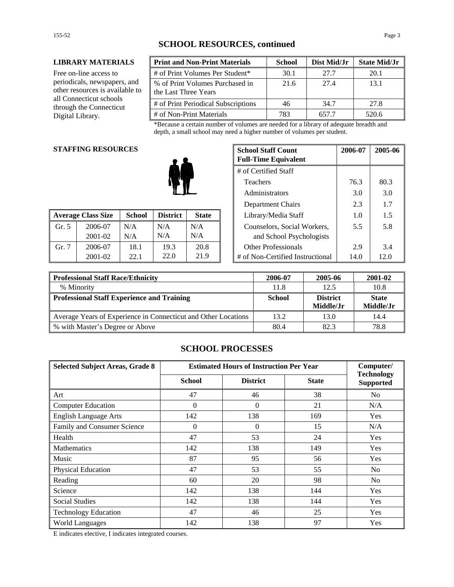#### **LIBRARY MATERIALS**

Free on-line access to periodicals, newspapers, and other resources is available to all Connecticut schools through the Connecticut Digital Library.

| <b>Print and Non-Print Materials</b>                    | <b>School</b> | Dist Mid/Jr | <b>State Mid/Jr</b> |
|---------------------------------------------------------|---------------|-------------|---------------------|
| # of Print Volumes Per Student*                         | 30.1          | 27.7        | 20.1                |
| % of Print Volumes Purchased in<br>the Last Three Years | 21.6          | 27.4        | 13.1                |
| # of Print Periodical Subscriptions                     | 46            | 34.7        | 27.8                |
| # of Non-Print Materials                                | 783           | 657.7       | 520.6               |

\*Because a certain number of volumes are needed for a library of adequate breadth and depth, a small school may need a higher number of volumes per student.

#### **STAFFING RESOURCES**

| <b>Average Class Size</b> |             | <b>School</b> | <b>District</b><br><b>State</b> |      | Library/Media Staff              | 1.0  | 1.5  |
|---------------------------|-------------|---------------|---------------------------------|------|----------------------------------|------|------|
| Gr. 5                     | 2006-07     | N/A           | N/A                             | N/A  | Counselors, Social Workers,      | 5.5  | 5.8  |
|                           | $2001 - 02$ | N/A           | N/A                             | N/A  | and School Psychologists         |      |      |
| Gr. 7                     | 2006-07     | 18.1          | 19.3                            | 20.8 | <b>Other Professionals</b>       | 2.9  | 3.4  |
|                           | 2001-02     | 22.1          | 22.0                            | 21.9 | # of Non-Certified Instructional | 14.0 | 12.0 |

| <b>G RESOURCES</b> |               |                 | <b>School Staff Count</b><br><b>Full-Time Equivalent</b> | 2006-07 | 2005-06                          |      |      |
|--------------------|---------------|-----------------|----------------------------------------------------------|---------|----------------------------------|------|------|
|                    |               |                 | # of Certified Staff                                     |         |                                  |      |      |
|                    |               | <b>Teachers</b> | 76.3                                                     | 80.3    |                                  |      |      |
|                    |               | Administrators  | 3.0                                                      | 3.0     |                                  |      |      |
|                    |               |                 | Department Chairs                                        | 2.3     | 1.7                              |      |      |
| lass Size          | <b>School</b> | <b>District</b> | <b>State</b>                                             |         | Library/Media Staff              | 1.0  | 1.5  |
| 2006-07            | N/A           | N/A             | N/A                                                      |         | Counselors, Social Workers,      | 5.5  | 5.8  |
| 2001-02            | N/A           | N/A             | N/A                                                      |         | and School Psychologists         |      |      |
| 2006-07            | 18.1          | 19.3            | 20.8                                                     |         | <b>Other Professionals</b>       | 2.9  | 3.4  |
| 2001-02            | 22.1          | 22.0            | 21.9                                                     |         | # of Non-Certified Instructional | 14.0 | 12.0 |

| Professional Staff Race/Ethnicity                              | 2006-07       | 2005-06         | 2001-02      |
|----------------------------------------------------------------|---------------|-----------------|--------------|
| % Minority                                                     | 11.8          | 12.5            | 10.8         |
| <b>Professional Staff Experience and Training</b>              | <b>School</b> | <b>District</b> | <b>State</b> |
|                                                                |               | Middle/Jr       | Middle/Jr    |
| Average Years of Experience in Connecticut and Other Locations | 13.2          | 13.0            | 14.4         |
| ■ % with Master's Degree or Above                              | 80.4          | 82.3            | 78.8         |

## **SCHOOL PROCESSES**

| <b>Selected Subject Areas, Grade 8</b> | <b>Estimated Hours of Instruction Per Year</b> |                 |              | Computer/                             |
|----------------------------------------|------------------------------------------------|-----------------|--------------|---------------------------------------|
|                                        | <b>School</b>                                  | <b>District</b> | <b>State</b> | <b>Technology</b><br><b>Supported</b> |
| Art                                    | 47                                             | 46              | 38           | No                                    |
| <b>Computer Education</b>              | $\mathbf{0}$                                   | $\Omega$        | 21           | N/A                                   |
| <b>English Language Arts</b>           | 142                                            | 138             | 169          | Yes                                   |
| Family and Consumer Science            | $\theta$                                       | $\overline{0}$  | 15           | N/A                                   |
| Health                                 | 47                                             | 53              | 24           | Yes                                   |
| <b>Mathematics</b>                     | 142                                            | 138             | 149          | <b>Yes</b>                            |
| Music                                  | 87                                             | 95              | 56           | Yes                                   |
| Physical Education                     | 47                                             | 53              | 55           | N <sub>0</sub>                        |
| Reading                                | 60                                             | 20              | 98           | No                                    |
| Science                                | 142                                            | 138             | 144          | Yes                                   |
| <b>Social Studies</b>                  | 142                                            | 138             | 144          | Yes                                   |
| <b>Technology Education</b>            | 47                                             | 46              | 25           | Yes                                   |
| <b>World Languages</b>                 | 142                                            | 138             | 97           | Yes                                   |

E indicates elective, I indicates integrated courses.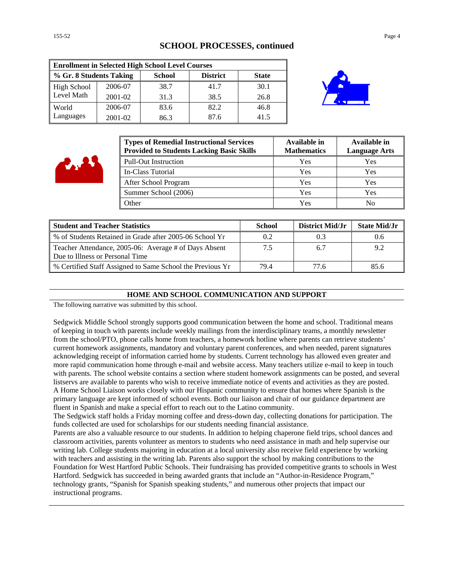#### **SCHOOL PROCESSES, continued**

| <b>Enrollment in Selected High School Level Courses</b> |         |               |                 |              |  |
|---------------------------------------------------------|---------|---------------|-----------------|--------------|--|
| % Gr. 8 Students Taking                                 |         | <b>School</b> | <b>District</b> | <b>State</b> |  |
| <b>High School</b>                                      | 2006-07 | 38.7          | 41.7            | 30.1         |  |
| Level Math                                              | 2001-02 | 31.3          | 38.5            | 26.8         |  |
| World                                                   | 2006-07 | 83.6          | 82.2            | 46.8         |  |
| Languages                                               | 2001-02 | 86.3          | 87.6            | 41.5         |  |



| <b>Types of Remedial Instructional Services</b><br><b>Provided to Students Lacking Basic Skills</b> | Available in<br><b>Mathematics</b> | Available in<br><b>Language Arts</b> |
|-----------------------------------------------------------------------------------------------------|------------------------------------|--------------------------------------|
| <b>Pull-Out Instruction</b>                                                                         | Yes                                | Yes                                  |
| In-Class Tutorial                                                                                   | Yes                                | Yes                                  |
| After School Program                                                                                | Yes                                | Yes                                  |
| Summer School (2006)                                                                                | Yes                                | Yes                                  |
| Other                                                                                               | Yes                                | N <sub>0</sub>                       |

| <b>Student and Teacher Statistics</b>                                                    | School | District Mid/Jr | <b>State Mid/Jr</b> |
|------------------------------------------------------------------------------------------|--------|-----------------|---------------------|
| % of Students Retained in Grade after 2005-06 School Yr                                  | 0.2    |                 |                     |
| Teacher Attendance, 2005-06: Average # of Days Absent<br>Due to Illness or Personal Time |        | 6.7             |                     |
| % Certified Staff Assigned to Same School the Previous Yr                                | 79.4   | 77 6            | 85.6                |

#### **HOME AND SCHOOL COMMUNICATION AND SUPPORT**

The following narrative was submitted by this school.

Sedgwick Middle School strongly supports good communication between the home and school. Traditional means of keeping in touch with parents include weekly mailings from the interdisciplinary teams, a monthly newsletter from the school/PTO, phone calls home from teachers, a homework hotline where parents can retrieve students' current homework assignments, mandatory and voluntary parent conferences, and when needed, parent signatures acknowledging receipt of information carried home by students. Current technology has allowed even greater and more rapid communication home through e-mail and website access. Many teachers utilize e-mail to keep in touch with parents. The school website contains a section where student homework assignments can be posted, and several listservs are available to parents who wish to receive immediate notice of events and activities as they are posted. A Home School Liaison works closely with our Hispanic community to ensure that homes where Spanish is the primary language are kept informed of school events. Both our liaison and chair of our guidance department are fluent in Spanish and make a special effort to reach out to the Latino community.

The Sedgwick staff holds a Friday morning coffee and dress-down day, collecting donations for participation. The funds collected are used for scholarships for our students needing financial assistance.

Parents are also a valuable resource to our students. In addition to helping chaperone field trips, school dances and classroom activities, parents volunteer as mentors to students who need assistance in math and help supervise our writing lab. College students majoring in education at a local university also receive field experience by working with teachers and assisting in the writing lab. Parents also support the school by making contributions to the Foundation for West Hartford Public Schools. Their fundraising has provided competitive grants to schools in West Hartford. Sedgwick has succeeded in being awarded grants that include an "Author-in-Residence Program," technology grants, "Spanish for Spanish speaking students," and numerous other projects that impact our instructional programs.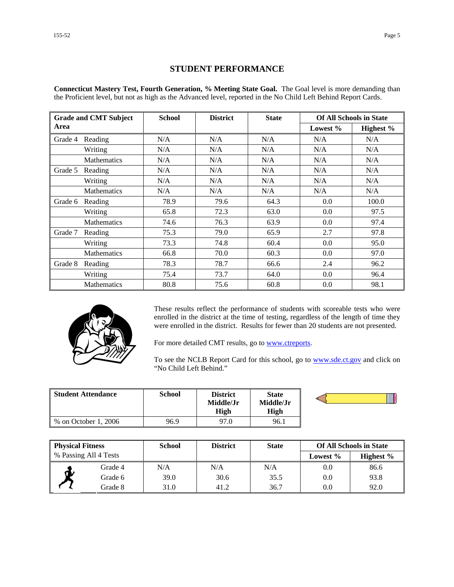### **STUDENT PERFORMANCE**

**Connecticut Mastery Test, Fourth Generation, % Meeting State Goal.** The Goal level is more demanding than the Proficient level, but not as high as the Advanced level, reported in the No Child Left Behind Report Cards.

|         | <b>Grade and CMT Subject</b> | <b>School</b> | <b>District</b> | <b>State</b> |             | <b>Of All Schools in State</b> |
|---------|------------------------------|---------------|-----------------|--------------|-------------|--------------------------------|
| Area    |                              |               |                 |              | Lowest $\%$ | Highest %                      |
| Grade 4 | Reading                      | N/A           | N/A             | N/A          | N/A         | N/A                            |
|         | Writing                      | N/A           | N/A             | N/A          | N/A         | N/A                            |
|         | <b>Mathematics</b>           | N/A           | N/A             | N/A          | N/A         | N/A                            |
| Grade 5 | Reading                      | N/A           | N/A             | N/A          | N/A         | N/A                            |
|         | Writing                      | N/A           | N/A             | N/A          | N/A         | N/A                            |
|         | <b>Mathematics</b>           | N/A           | N/A             | N/A          | N/A         | N/A                            |
| Grade 6 | Reading                      | 78.9          | 79.6            | 64.3         | 0.0         | 100.0                          |
|         | Writing                      | 65.8          | 72.3            | 63.0         | 0.0         | 97.5                           |
|         | <b>Mathematics</b>           | 74.6          | 76.3            | 63.9         | 0.0         | 97.4                           |
| Grade 7 | Reading                      | 75.3          | 79.0            | 65.9         | 2.7         | 97.8                           |
|         | Writing                      | 73.3          | 74.8            | 60.4         | $0.0\,$     | 95.0                           |
|         | <b>Mathematics</b>           | 66.8          | 70.0            | 60.3         | 0.0         | 97.0                           |
| Grade 8 | Reading                      | 78.3          | 78.7            | 66.6         | 2.4         | 96.2                           |
|         | Writing                      | 75.4          | 73.7            | 64.0         | 0.0         | 96.4                           |
|         | <b>Mathematics</b>           | 80.8          | 75.6            | 60.8         | 0.0         | 98.1                           |



These results reflect the performance of students with scoreable tests who were enrolled in the district at the time of testing, regardless of the length of time they were enrolled in the district. Results for fewer than 20 students are not presented.

For more detailed CMT results, go to **www.ctreports**.

To see the NCLB Report Card for this school, go to **[www.sde.ct.gov](http://www.sde.ct.gov/)** and click on "No Child Left Behind."

| Student Attendance   | School | District<br>Middle/Jr<br>High | <b>State</b><br>Middle/Jr<br>High |  |
|----------------------|--------|-------------------------------|-----------------------------------|--|
| % on October 1, 2006 | 96.9   | 97.0                          | 96.1                              |  |

| <b>Physical Fitness</b> |                       | <b>School</b> | <b>District</b> | <b>State</b> |          | <b>Of All Schools in State</b> |
|-------------------------|-----------------------|---------------|-----------------|--------------|----------|--------------------------------|
|                         | % Passing All 4 Tests |               |                 |              | Lowest % | Highest $\%$                   |
|                         | Grade 4               | N/A           | N/A             | N/A          | 0.0      | 86.6                           |
| W                       | Grade 6               | 39.0          | 30.6            | 35.5         | 0.0      | 93.8                           |
|                         | Grade 8               | 31.0          | 41.2            | 36.7         | 0.0      | 92.0                           |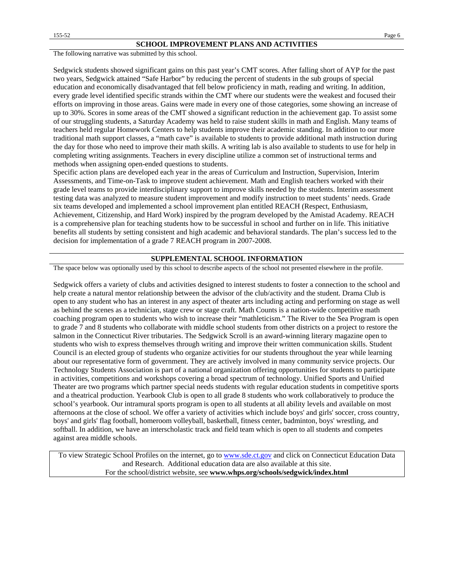The following narrative was submitted by this school.

Sedgwick students showed significant gains on this past year's CMT scores. After falling short of AYP for the past two years, Sedgwick attained "Safe Harbor" by reducing the percent of students in the sub groups of special education and economically disadvantaged that fell below proficiency in math, reading and writing. In addition, every grade level identified specific strands within the CMT where our students were the weakest and focused their efforts on improving in those areas. Gains were made in every one of those categories, some showing an increase of up to 30%. Scores in some areas of the CMT showed a significant reduction in the achievement gap. To assist some of our struggling students, a Saturday Academy was held to raise student skills in math and English. Many teams of teachers held regular Homework Centers to help students improve their academic standing. In addition to our more traditional math support classes, a "math cave" is available to students to provide additional math instruction during the day for those who need to improve their math skills. A writing lab is also available to students to use for help in completing writing assignments. Teachers in every discipline utilize a common set of instructional terms and methods when assigning open-ended questions to students.

Specific action plans are developed each year in the areas of Curriculum and Instruction, Supervision, Interim Assessments, and Time-on-Task to improve student achievement. Math and English teachers worked with their grade level teams to provide interdisciplinary support to improve skills needed by the students. Interim assessment testing data was analyzed to measure student improvement and modify instruction to meet students' needs. Grade six teams developed and implemented a school improvement plan entitled REACH (Respect, Enthusiasm, Achievement, Citizenship, and Hard Work) inspired by the program developed by the Amistad Academy. REACH is a comprehensive plan for teaching students how to be successful in school and further on in life. This initiative benefits all students by setting consistent and high academic and behavioral standards. The plan's success led to the decision for implementation of a grade 7 REACH program in 2007-2008.

#### **SUPPLEMENTAL SCHOOL INFORMATION**

The space below was optionally used by this school to describe aspects of the school not presented elsewhere in the profile.

Sedgwick offers a variety of clubs and activities designed to interest students to foster a connection to the school and help create a natural mentor relationship between the advisor of the club/activity and the student. Drama Club is open to any student who has an interest in any aspect of theater arts including acting and performing on stage as well as behind the scenes as a technician, stage crew or stage craft. Math Counts is a nation-wide competitive math coaching program open to students who wish to increase their "mathleticism." The River to the Sea Program is open to grade 7 and 8 students who collaborate with middle school students from other districts on a project to restore the salmon in the Connecticut River tributaries. The Sedgwick Scroll is an award-winning literary magazine open to students who wish to express themselves through writing and improve their written communication skills. Student Council is an elected group of students who organize activities for our students throughout the year while learning about our representative form of government. They are actively involved in many community service projects. Our Technology Students Association is part of a national organization offering opportunities for students to participate in activities, competitions and workshops covering a broad spectrum of technology. Unified Sports and Unified Theater are two programs which partner special needs students with regular education students in competitive sports and a theatrical production. Yearbook Club is open to all grade 8 students who work collaboratively to produce the school's yearbook. Our intramural sports program is open to all students at all ability levels and available on most afternoons at the close of school. We offer a variety of activities which include boys' and girls' soccer, cross country, boys' and girls' flag football, homeroom volleyball, basketball, fitness center, badminton, boys' wrestling, and softball. In addition, we have an interscholastic track and field team which is open to all students and competes against area middle schools.

To view Strategic School Profiles on the internet, go to [www.sde.ct.gov](http://www.sde.ct.gov/) and click on Connecticut Education Data and Research. Additional education data are also available at this site. For the school/district website, see **www.whps.org/schools/sedgwick/index.html**